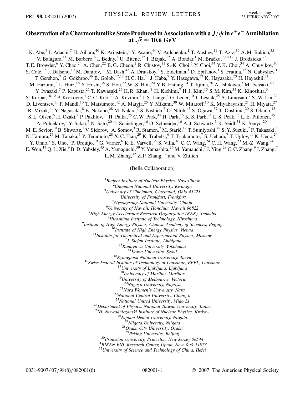## Observation of a Charmoniumlike State Produced in Association with a  $J/\psi$  in  $e^+e^-$  Annihilation at  $\sqrt{s} \approx 10.6 \ {\rm GeV}$

K. Abe,<sup>7</sup> I. Adachi,<sup>7</sup> H. Aihara,<sup>40</sup> K. Arinstein,<sup>1</sup> Y. Asano,<sup>44</sup> V. Aulchenko,<sup>1</sup> T. Aushev,<sup>11</sup> T. Aziz,<sup>36</sup> A. M. Bakich,<sup>35</sup> V. Balagura,<sup>11</sup> M. Barbero,<sup>6</sup> I. Bedny,<sup>1</sup> U. Bitenc,<sup>12</sup> I. Bizjak,<sup>12</sup> A. Bondar,<sup>1</sup> M. Bračko,<sup>7,18,12</sup> J. Brodzicka,<sup>25</sup> T. E. Browder, <sup>6</sup> Y. Chao, <sup>24</sup> A. Chen, <sup>22</sup> B. G. Cheon, <sup>2</sup> R. Chistov, <sup>11</sup> S.-K. Choi, <sup>5</sup> Y. Choi, <sup>34</sup> Y. K. Choi, <sup>34</sup> A. Chuvikov, <sup>30</sup> S. Cole,<sup>35</sup> J. Dalseno,<sup>19</sup> M. Danilov,<sup>11</sup> M. Dash,<sup>45</sup> A. Drutskoy,<sup>3</sup> S. Eidelman,<sup>1</sup> D. Epifanov,<sup>1</sup> S. Fratina,<sup>12</sup> N. Gabyshev,<sup>1</sup> T. Gershon, <sup>7</sup> G. Gokhroo,  $36$  B. Golob,  $^{17,12}$  H. C. Ha,  $^{14}$  J. Haba,  $^7$  Y. Hasegawa,  $^{33}$  K. Hayasaka,  $^{20}$  H. Hayashii,  $^{21}$ M. Hazumi,<sup>7</sup> L. Hinz,<sup>16</sup> Y. Hoshi,<sup>38</sup> S. Hou,<sup>22</sup> W.-S. Hou,<sup>24</sup> Y. B. Hsiung,<sup>24</sup> T. Iijima,<sup>20</sup> A. Ishikawa,<sup>7</sup> M. Iwasaki,<sup>40</sup> Y. Iwasaki,<sup>7</sup> P. Kapusta,<sup>25</sup> T. Kawasaki,<sup>27</sup> H. R. Khan,<sup>41</sup> H. Kichimi,<sup>7</sup> H. J. Kim,<sup>15</sup> S. M. Kim,<sup>34</sup> K. Kinoshita,<sup>3</sup> S. Korpar, <sup>18,12</sup> P. Krokovny, <sup>1</sup> C. C. Kuo, <sup>22</sup> A. Kuzmin, <sup>1</sup> J. S. Lange, <sup>4</sup> G. Leder, <sup>10</sup> T. Lesiak, <sup>25</sup> A. Limosani, <sup>7</sup> S.-W. Lin, <sup>24</sup> D. Liventsev,  $^{11}$  F. Mandl,  $^{10}$  T. Matsumoto,  $^{42}$  A. Matyja,  $^{25}$  Y. Mikami,  $^{39}$  W. Mitaroff,  $^{10}$  K. Miyabayashi,  $^{21}$  H. Miyata,  $^{27}$ R. Mizuk,<sup>11</sup> Y. Nagasaka,<sup>8</sup> E. Nakano,<sup>28</sup> M. Nakao,<sup>7</sup> S. Nishida,<sup>7</sup> O. Nitoh,<sup>43</sup> S. Ogawa,<sup>37</sup> T. Ohshima,<sup>20</sup> S. Okuno,<sup>13</sup> S. L. Olsen,<sup>6</sup> H. Ozaki,<sup>7</sup> P. Pakhlov,<sup>11</sup> H. Palka,<sup>25</sup> C. W. Park,<sup>34</sup> H. Park,<sup>15</sup> K. S. Park,<sup>34</sup> L. S. Peak,<sup>35</sup> L. E. Piilonen,<sup>45</sup> A. Poluektov,<sup>1</sup> Y. Sakai,<sup>7</sup> N. Sato,<sup>20</sup> T. Schietinger,<sup>16</sup> O. Schneider,<sup>16</sup> A. J. Schwartz,<sup>3</sup> R. Seidl,<sup>31</sup> K. Senyo,<sup>20</sup> M. E. Sevior, <sup>19</sup> B. Shwartz, <sup>1</sup> V. Sidorov, <sup>1</sup> A. Somov, <sup>3</sup> R. Stamen, <sup>7</sup> M. Starič, <sup>12</sup> T. Sumiyoshi, <sup>42</sup> S. Y. Suzuki, <sup>7</sup> F. Takasaki, <sup>7</sup> N. Tamura,<sup>27</sup> M. Tanaka,<sup>7</sup> Y. Teramoto,<sup>28</sup> X. C. Tian,<sup>29</sup> K. Trabelsi,<sup>6</sup> T. Tsukamoto,<sup>7</sup> S. Uehara,<sup>7</sup> T. Uglov,<sup>11</sup> K. Ueno,<sup>24</sup> Y. Unno,<sup>7</sup> S. Uno,<sup>7</sup> P. Urquijo,<sup>19</sup> G. Varner,<sup>6</sup> K. E. Varvell,<sup>35</sup> S. Villa,<sup>16</sup> C. C. Wang,<sup>24</sup> C. H. Wang,<sup>23</sup> M.-Z. Wang,<sup>24</sup> E. Won,<sup>14</sup> Q. L. Xie, <sup>9</sup> B. D. Yabsley, <sup>45</sup> A. Yamaguchi, <sup>39</sup> Y. Yamashita, <sup>26</sup> M. Yamauchi, <sup>7</sup> J. Ying, <sup>29</sup> C. C. Zhang, <sup>9</sup> J. Zhang, <sup>7</sup> L. M. Zhang,  $3^2$  Z. P. Zhang,  $3^2$  and V. Zhilich<sup>1</sup>

(Belle Collaboration)

<sup>1</sup> Budker Institute of Nuclear Physics, Novosibirsk<br><sup>2</sup> Chonnam National University, Kwangju <sup>2</sup> Chonnam National University, Kwangju *University of Cincinnati, Cincinnati, Ohio 45221* <sup>4</sup> <sup>4</sup>University of Frankfurt, Frankfurt *Gyeongsang National University, Chinju* <sup>6</sup> *University of Hawaii, Honolulu, Hawaii 96822* <sup>7</sup> *High Energy Accelerator Research Organization (KEK), Tsukuba* <sup>8</sup> <sup>8</sup>Hiroshima Institute of Technology, Hiroshima<br><sup>9</sup>Institute of High Energy Physics, Chinese Academy of Sciences, Beijing <sup>10</sup>Institute of High Energy Physics, Vienna<br><sup>11</sup>Institute for Theoretical and Experimental Physics, Moscow<br><sup>12</sup>J. Stefan Institute, Ljubljana<br><sup>14</sup>Korea University, Yokohama<br><sup>14</sup>Korea University, Seoul<br><sup>15</sup>Kyungpook Natio <sup>18</sup>*University of Maribor, Maribor* <sup>19</sup>*University of Melbourne, Victoria* <sup>20</sup>*Nagoya University, Nagoya* <sup>21</sup>*Nara Women's University, Nara* <sup>22</sup>*National Central University, Chung-li* <sup>24</sup>Department of Physics, National Taiwan University, Taipei <sup>25</sup>*H. Niewodniczanski Institute of Nuclear Physics, Krakow* <sup>26</sup>*Nippon Dental University, Niigata* <sup>27</sup>*Niigata University, Niigata* <sup>28</sup>*Osaka City University, Osaka* <sup>30</sup>Princeton University, Princeton, New Jersey 08544<br><sup>31</sup>RIKEN BNL Research Center, Upton, New York 11973 <sup>32</sup>*University of Science and Technology of China, Hefei*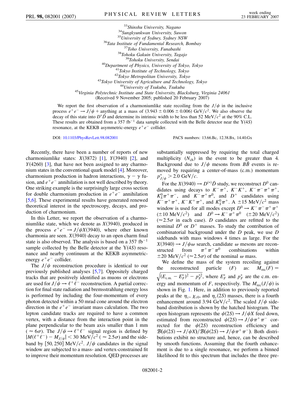$\begin{tabular}{c} \begin{tabular}{c} \multicolumn{1}{c}{\textbf{33}Shinshu University, Nagano} \\ \multicolumn{1}{c}{\textbf{34}Supakyunkwan University, Suwon} \\ \multicolumn{1}{c}{\textbf{35}University of Sydney, Sydney NSW} \\ \multicolumn{1}{c}{\textbf{35}University of Sydney NSW} \\ \multicolumn{1}{c}{\textbf{36}Tata Institute of Fundamental Research, Bombay} \\ \multicolumn{1}{c}{\textbf{37}Toho University, Fundhashi} \\ \multicolumn{1}{c}{\textbf{38}Tohoku Gakuin University, Tagajo} \\ \multicolumn{1}{c}{\textbf{39}Tohoku University, Sendai$ (Received 9 November 2005; published 20 February 2007)

We report the first observation of a charmoniumlike state recoiling from the  $J/\psi$  in the inclusive process  $e^+e^- \rightarrow J/\psi$  + anything at a mass of  $(3.943 \pm 0.006 \pm 0.006)$  GeV/ $c^2$ . We also observe the decay of this state into  $D^*\bar{D}$  and determine its intrinsic width to be less than 52 MeV/ $c^2$  at the 90% C.L. These results are obtained from a 357 fb<sup>-1</sup> data sample collected with the Belle detector near the  $Y(4S)$ resonance, at the KEKB asymmetric-energy  $e^+e^-$  collider.

DOI: [10.1103/PhysRevLett.98.082001](http://dx.doi.org/10.1103/PhysRevLett.98.082001) PACS numbers: 13.66.Bc, 12.38.Bx, 14.40.Gx

Recently, there have been a number of reports of new charmoniumlike states:  $X(3872)$  [\[1\]](#page-4-0),  $Y(3940)$  [[2\]](#page-5-0), and  $Y(4260)$  [[3\]](#page-5-1), that have not been assigned to any charmonium states in the conventional quark model [\[4](#page-5-2)]. Moreover, charmonium production in hadron interactions,  $\gamma - \gamma$  fusion, and  $e^+e^-$  annihilation is not well described by theory. One striking example is the surprisingly large cross section for double charmonium production in  $e^+e^-$  annihilation [\[5,](#page-5-3)[6](#page-5-4)]. These experimental results have generated renewed theoretical interest in the spectroscopy, decays, and production of charmonium.

In this Letter, we report the observation of a charmoniumlike state, which we denote as  $X(3940)$ , produced in the process  $e^+e^- \rightarrow J/\psi X(3940)$ , where other known charmonia are seen.  $X(3940)$  decay to an open charm final state is also observed. The analysis is based on a 357  $fb^{-1}$ sample collected by the Belle detector at the  $Y(4S)$  resonance and nearby continuum at the KEKB asymmetricenergy  $e^+e^-$  collider.

The  $J/\psi$  reconstruction procedure is identical to our previously published analyses [[5](#page-5-3)[,7\]](#page-5-5). Oppositely charged tracks that are positively identified as muons or electrons are used for  $J/\psi \rightarrow \ell^+ \ell^-$  reconstruction. A partial correction for final state radiation and bremsstrahlung energy loss is performed by including the four-momentum of every photon detected within a 50 mrad cone around the electron direction in the  $e^+e^-$  invariant mass calculation. The two lepton candidate tracks are required to have a common vertex, with a distance from the interaction point in the plane perpendicular to the beam axis smaller than 1 mm  $(\approx 6\sigma)$ . The  $J/\psi \rightarrow \ell^+ \ell^-$  signal region is defined by  $|M(\ell^+\ell^-) - M_{J/\psi}| < 30 \text{ MeV}/c^2$  (  $\approx 2.5\sigma$ ) and the sideband by [50, 250] MeV/ $c^2$ . *J/* $\psi$  candidates in the signal window are subjected to a mass- and vertex-constrained fit to improve their momentum resolution. QED processes are substantially suppressed by requiring the total charged multiplicity  $(N_{ch})$  in the event to be greater than 4. Background due to  $J/\psi$  mesons from  $B\bar{B}$  events is removed by requiring a center-of-mass (c.m.) momentum  $p_{J/\psi}^* > 2.0 \text{ GeV}/c.$ 

For the *X*(3940)  $\rightarrow$  *D*<sup>(\*)</sup>*D* study, we reconstruct *D*<sup>0</sup> candidates using decays to  $K^-\pi^+$ ,  $K^-K^+$ ,  $K^-\pi^-\pi^+\pi^+$ ,  $K_S^0 \pi^+ \pi^-$ , and  $K^- \pi^+ \pi^0$ , and  $D^+$  candidates using  $K^{-} \pi^{+} \pi^{+}$ ,  $K^{-} K^{+} \pi^{+}$ , and  $K^{0}_{S} \pi^{+}$ . A  $\pm 15$  MeV/ $c^{2}$  mass window is used for all modes except  $D^0 \to K^- \pi^- \pi^+ \pi^+$  $(\pm 10 \text{ MeV}/c^2)$  and  $D^0 \to K^- \pi^+ \pi^0$   $(\pm 20 \text{ MeV}/c^2)$  $(\approx 2.5\sigma)$  in each case). *D* candidates are refitted to the nominal  $D^0$  or  $D^+$  masses. To study the contribution of combinatorial background under the *D* peak, we use *D* sidebands with mass windows 4 times as large. For the  $X(3940) \rightarrow J/\psi \omega$  search, candidate  $\omega$  mesons are reconstructed from  $\pi^+ \pi^- \pi^0$  combinations within structed from combinations within  $\pm 20 \text{ MeV}/c^2 \approx 2.5\sigma$  of the nominal  $\omega$  mass.

We define the mass of the system recoiling against the reconstructed particle  $(F)$  as:  $M_{rec}(F) =$  $\frac{1}{2}$   $\frac{1}{2}$   $\frac{1}{2}$   $\frac{1}{2}$   $\frac{1}{2}$   $\frac{1}{2}$   $\frac{1}{2}$   $\frac{1}{2}$   $\frac{1}{2}$   $\frac{1}{2}$   $\frac{1}{2}$   $\frac{1}{2}$   $\frac{1}{2}$   $\frac{1}{2}$   $\frac{1}{2}$   $\frac{1}{2}$   $\frac{1}{2}$   $\frac{1}{2}$   $\frac{1}{2}$   $\frac{1}{2}$   $\frac{1}{2}$   $\frac{1}{2}$   $(E_{\text{c.m.}} - E_F^*)^2 - p_F^{*2}$  $\sqrt{(E_{\text{c.m.}} - E_F^*)^2 - p_F^{*2}}$ , where  $E_F^*$  and  $p_F^*$  are the c.m. energy and momentum of *F*, respectively. The  $M_{rec}(J/\psi)$  is shown in Fig. [1.](#page-2-0) Here, in addition to previously reported peaks at the  $\eta_c$ ,  $\chi_{c0}$ , and  $\eta_c(2S)$  masses, there is a fourth enhancement around 3.94 GeV/ $c^2$ . The scaled  $J/\psi$  sideband distribution is shown by the hatched histogram. The open histogram represents the  $\psi(2S) \rightarrow J/\psi X$  feed down, estimated from reconstructed  $\psi(2S) \rightarrow J/\psi \pi^+ \pi^-$  corrected for the  $\psi(2S)$  reconstruction efficiency and  $\mathcal{B}(\psi(2S) \to J/\psi X)/\mathcal{B}(\psi(2S) \to J/\psi \pi^+ \pi^-)$ . Both distributions exhibit no structure and, hence, can be described by smooth functions. Assuming that the fourth enhancement is due to a single resonance, we perform a binned likelihood fit to this spectrum that includes the three pre-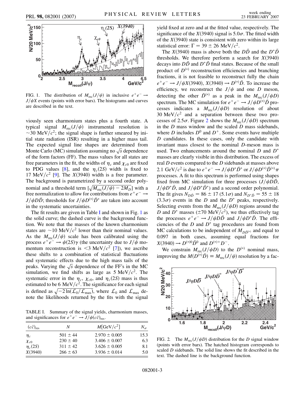<span id="page-2-0"></span>

FIG. 1. The distribution of  $M_{\text{rec}}(J/\psi)$  in inclusive  $e^+e^- \rightarrow$  $J/\psi X$  events (points with error bars). The histograms and curves are described in the text.

viously seen charmonium states plus a fourth state. A typical signal  $M_{\text{rec}}(J/\psi)$  instrumental resolution is  $\sim$ 30 MeV/ $c^2$ ; the signal shape is further smeared by initial state radiation (ISR) resulting in a higher mass tail. The expected signal line shapes are determined from The expected signal line shapes are determined from<br>Monte Carlo (MC) simulation assuming no  $\sqrt{s}$  dependence of the form factors (FF). The mass values for all states are free parameters in the fit, the widths of  $\eta_c$  and  $\chi_{c0}$  are fixed to PDG values [\[8\]](#page-5-6), and the  $\eta_c(2S)$  width is fixed to 17 MeV/ $c^2$  [\[9\]](#page-5-7). The *X*(3940) width is a free parameter. The background is parametrized by a second order polynomial and a threshold term  $[\sqrt{M_{\text{rec}}(J/\psi) - 2M_D}]$  with a free normalization to allow for contributions from  $e^+e^- \rightarrow$  $J/\psi D\bar{D}$ ; thresholds for  $J/\psi D^{(*)}\bar{D}^*$  are taken into account in the systematic uncertainties.

The fit results are given in Table I and shown in Fig. [1](#page-2-0) as the solid curve; the dashed curve is the background function. We note that the masses of the known charmonium states are  $\sim$ 10 MeV/ $c<sup>2</sup>$  lower than their nominal values. As the  $M_{\text{rec}}(J/\psi)$  scale has been calibrated using the process  $e^+e^- \rightarrow \psi(2S)\gamma$  (the uncertainty due to  $J/\psi$  momentum reconstruction is  $\leq 3$  MeV/ $c^2$  [\[7\]](#page-5-5)), we ascribe these shifts to a combination of statistical fluctuations and systematic effects due to the high mass tails of the and systematic effects due to the high mass tans of the peaks. Varying the  $\sqrt{s}$  dependence of the FF's in the MC simulation, we find shifts as large as  $5 \text{ MeV}/c^2$ . The systematic error in the  $\eta_c$ ,  $\chi_{c0}$ , and  $\eta_c(2S)$  mass is thus estimated to be 6 MeV/ $c^2$ . The significance for each signal is defined as  $\sqrt{-2\ln(L_0/L_{\text{max}})}$ , where  $L_0$  and  $L_{\text{max}}$  denote the likelihoods returned by the fits with the signal

TABLE I. Summary of the signal yields, charmonium masses, and significances for  $e^+e^- \rightarrow J/\psi(c\bar{c})_{\text{res}}$ .

| $(c\bar{c})_{\text{res}}$ | N            | M[GeV/c <sup>2</sup> ] | $N_{\sigma}$ |
|---------------------------|--------------|------------------------|--------------|
| $\eta_c$                  | $501 \pm 44$ | $2.970 \pm 0.005$      | 15.3         |
| $\chi_{c0}$               | $230 \pm 40$ | $3.406 \pm 0.007$      | 6.3          |
| $\eta_c(2S)$              | $311 \pm 42$ | $3.626 \pm 0.005$      | 8.1          |
| X(3940)                   | $266 \pm 63$ | $3.936 \pm 0.014$      | 5.0          |

yield fixed at zero and at the fitted value, respectively. The significance of the  $X(3940)$  signal is  $5.0\sigma$ . The fitted width of the  $X(3940)$  state is consistent with zero within its large statistical error:  $\Gamma = 39 \pm 26 \text{ MeV}/c^2$ .

The *X*(3940) mass is above both the  $D\overline{D}$  and the  $D^*\overline{D}$ thresholds. We therefore perform a search for  $X(3940)$ decays into  $D\bar{D}$  and  $D^*\bar{D}$  final states. Because of the small product of  $D^{(*)}$  reconstruction efficiencies and branching fractions, it is not feasible to reconstruct fully the chain  $e^+e^- \to J/\psi X(3940), X(3940) \to D^{(*)}\bar{D}$ . To increase the efficiency, we reconstruct the  $J/\psi$  and one *D* meson, detecting the other  $\bar{D}^{(*)}$  as a peak in the  $M_{rec}(J/\psi D)$ spectrum. The MC simulation for  $e^+e^- \rightarrow J/\psi D^{(*)}\bar{D}$  processes indicates a  $M_{rec}(J/\psi D)$  resolution of about 30 MeV $/c^2$  and a separation between these two pro-cesses of [2](#page-2-1).5 $\sigma$ . Figure 2 shows the  $M_{\text{rec}}(J/\psi D)$  spectrum in the *D* mass window and the scaled *D* mass sidebands, where *D* includes  $D^0$  and  $D^+$ . Some events have multiple *D* candidates. In these cases, only the candidate with invariant mass closest to the nominal *D*-meson mass is used. Two enhancements around the nominal *D* and *D* masses are clearly visible in this distribution. The excess of real *D* events compared to the *D* sidebands at masses above 2.1 GeV/ $c^2$  is due to  $e^+e^- \to J/\psi D^* \bar{D}^*$  or  $J/\psi D^{(*)} \bar{D}^{(*)} \pi$ processes. A fit to this spectrum is performed using shapes fixed from MC simulation for three processes  $(J/\psi D\bar{D},$  $J/\psi D^* \bar{D}$ , and  $J/\psi D^* \bar{D}^*$  and a second order polynomial. The fit gives  $N_{D\bar{D}} = 86 \pm 17 (5.1\sigma)$  and  $N_{D^*\bar{D}} = 55 \pm 18$  $(3.3\sigma)$  events in the *D* and the *D*<sup>\*</sup> peaks, respectively. Selecting events from the  $M_{rec}(J/\psi D)$  regions around the *D* and *D*<sup>\*</sup> masses ( $\pm$ 70 MeV/ $c$ <sup>2</sup>), we thus effectively tag the processes  $e^+e^- \rightarrow J/\psi D\bar{D}$  and  $J/\psi D^* \bar{D}$ . The efficiencies of the  $D$  and  $D^*$  tag procedures are found from MC calculations to be independent of  $M_{D\bar{D}^{(*)}}$  and equal to 0.097 in both cases, assuming equal fractions for  $X(3940) \rightarrow D^{(*)0} \bar{D}^0$  and  $D^{(*)+}D^-$ .

We constrain  $M_{\text{rec}}(J/\psi D)$  to the  $D^{(*)}$  nominal mass, improving the  $M(D^{(*)}\overline{D}) \equiv M_{\text{rec}}(J/\psi)$  resolution by a fac-

<span id="page-2-1"></span>

FIG. 2. The  $M_{rec}(J/\psi D)$  distribution for the *D* signal window (points with error bars). The hatched histogram corresponds to scaled *D* sidebands. The solid line shows the fit described in the text. The dashed line is the background function.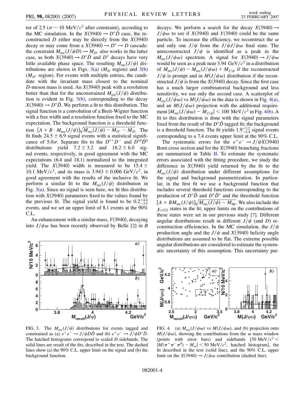tor of 2.5 ( $\sigma \sim 10 \text{ MeV}/c^2$  after constraint), according to the MC simulation. In the  $X(3940) \rightarrow D^* \bar{D}$  case, the reconstructed *D* either may be directly from the  $X(3940)$ decay or may come from a  $X(3940) \rightarrow D^* \rightarrow D$  cascade: the constraint  $M_{\text{rec}}(J/\psi D) \rightarrow M_{D^*}$  also works in the latter case, as both  $X(3940) \rightarrow D^* \overline{D}$  and  $D^*$  decays have very little available phase space. The resulting  $M_{\text{rec}}(J/\psi)$  distributions are shown in Figs.  $3(a)$  ( $M<sub>D</sub>$  region) and  $3(b)$  $(M_{D^*}$  region). For events with multiple entries, the candidate with the invariant mass closest to the nominal *D*-meson mass is used. An  $X(3940)$  peak with a resolution better than that for the unconstrained  $M_{rec}(J/\psi)$  distribution is evident in Fig.  $3(b)$ , corresponding to the decay  $X(3940) \rightarrow D^*D$ . We perform a fit to this distribution. The signal function is a convolution of a Breit-Wigner function with a free width and a resolution function fixed to the MC expectation. The background function is a threshold function  $[A + B \cdot M_{\text{rec}}(J/\psi)]\sqrt{M_{\text{rec}}(J/\psi) - M_{D^*} - M_D}$ . The fit finds  $24.5 \pm 6.9$  signal events with a statistical significance of 5.0 $\sigma$ . Separate fits to the  $D^{*+}D^-$  and  $D^{*0}\bar{D}^0$ distributions yield  $7.2 \pm 3.2$  and  $18.2 \pm 6.0$  signal events, respectively, in good agreement with the MC expectations (6.4 and 18.1) normalized to the integrated yield. The  $X(3940)$  width is measured to be 15.4  $\pm$ 10.1 MeV/ $c^2$ , and its mass is 3.943  $\pm$  0.006 GeV/ $c^2$ , in good agreement with the results of the inclusive fit. We perform a similar fit to the  $M_{rec}(J/\psi)$  distribution in Fig.  $3(a)$ . Since no signal is seen here, we fit this distribution with  $X(3940)$  parameters fixed to the values found by the previous fit. The signal yield is found to be  $0.2^{+4.4}_{-3.5}$ events, and we set an upper limit of 8.1 events at the 90% C.L.

An enhancement with a similar mass,  $Y(3940)$ , decaying into  $J/\psi \omega$  has been recently observed by Belle [[2\]](#page-5-0) in *B* 



<span id="page-3-0"></span>FIG. 3. The  $M_{\text{rec}}(J/\psi)$  distributions for events tagged and constrained as (a)  $e^+e^- \rightarrow J/\psi D\bar{D}$  and (b)  $e^+e^- \rightarrow J/\psi D^* \bar{D}$ . The hatched histograms correspond to scaled *D* sidebands. The solid lines are result of the fits, described in the text. The dashed lines show (a) the 90% C.L. upper limit on the signal and (b) the background function.

decays. We perform a search for the decay  $X(3940) \rightarrow$  $J/\psi \omega$  to see if *X*(3940) and *Y*(3940) could be the same particle. To increase the efficiency, we reconstruct the  $\omega$ and only one  $J/\psi$  from the  $J/\psi J/\psi \omega$  final state. The unreconstructed  $J/\psi$  is identified as a peak in the  $M_{\text{rec}}(J/\psi \omega)$  spectrum. A signal for  $X(3940) \rightarrow J/\psi \omega$ would be seen as a peak near 3.94  $GeV/c^2$  in a distribution of  $M_{\text{rec}}(J/\psi) - M_{\text{rec}}(J/\psi \omega) + M_{J/\psi}$  if the reconstructed  $J/\psi$  is prompt and in  $M(J/\psi \omega)$  distribution if the reconstructed  $J/\psi$  is from the *X*(3940) decay. Since the first case has a much larger combinatorial background and less sensitivity, we use only the second case. A scatterplot of  $M_{\text{rec}}(J/\psi \omega)$  vs  $M(J/\psi \omega)$  in the data is shown in Fig. [4\(a\)](#page-3-1), and an  $M(J/\psi \omega)$  projection with the additional require $m$ ent  $|M_{\text{rec}}(J/\psi \omega) - M_{J/\psi}| < 100 \text{ MeV}/c^2$  in Fig. [4\(b\).](#page-3-1) A fit to this distribution is done with the signal parameters fixed from the result of the  $D^*\bar{D}$  tagged fit; the background is a threshold function. The fit yields  $1.9^{+3.2}_{-2.4}$  signal events corresponding to a 7.4 events upper limit at the 90% C.L.

The systematic errors for the  $e^+e^- \rightarrow J/\psi X(3940)$ Born cross section and for the  $X(3940)$  branching fractions are summarized in Table II. To estimate the systematic errors associated with the fitting procedure, we study the difference in  $X(3940)$  yield returned by the fit to the  $M_{\text{rec}}(J/\psi)$  distribution under different assumptions for the signal and background parametrization. In particular, in the first fit we use a background function that includes several threshold functions corresponding to the production of  $D^*D$  and  $D^*D^*$  and the threshold function  $[A + BM_{\text{rec}}(J/\psi)]\sqrt{M_{\text{rec}}(J/\psi) - M_{\text{thr}}}.$  We also include the  $\chi_{c1(2)}$  states in the fit; upper limits on the contributions of these states were set in our previous study [[7\]](#page-5-5). Different angular distributions result in different  $J/\psi$  (and *D*) reconstruction efficiencies. In the MC simulation, the  $J/\psi$ production angle and the  $J/\psi$  and *X*(3940) helicity angle distributions are assumed to be flat. The extreme possible angular distributions are considered to estimate the systematic uncertainty of this assumption. This uncertainty par-



<span id="page-3-1"></span>FIG. 4. (a)  $M_{\text{rec}}(J/\psi \omega)$  vs  $M(J/\psi \omega)$ , and (b) projection onto  $M(J/\psi \omega)$ , showing the contributions from the  $\omega$  mass window (points with error bars) and sidebands  $[30 \text{ MeV}/c^2 <$  $|M(\pi^+\pi^-\pi^0) - M_{\omega}|$  < 50 MeV/ $c^2$ , hatched histogram], the fit described in the text (solid line), and the 90% C.L. upper limit on the *X*(3940)  $\rightarrow$  *J/* $\psi \omega$  contribution (dashed line).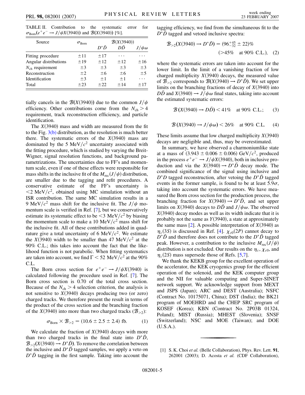TABLE II. Contribution to the systematic error for  $\sigma_{\text{Born}}(e^+e^- \to J/\psi X(3940))$  and  $\mathcal{B}(X(3940))$  [%].

| Source                | $\sigma_{\rm Born}$ | $\mathcal{B}(X(3940))$ |         |                |
|-----------------------|---------------------|------------------------|---------|----------------|
|                       |                     | $D^*\bar{D}$           | DĐ      | $J/\psi\omega$ |
| Fitting procedure     | ±11                 | ±17                    |         |                |
| Angular distributions | ±19                 | ±12                    | ±12     | ±16            |
| $N_{ch}$ requirement  | ±3                  | $\pm$ 3                | $\pm$ 3 | $\pm$ 3        |
| Reconstruction        | $\pm 2$             | ±6                     | ±6      | ±5             |
| Identification        | $\pm$ 3             | $+1$                   | $+1$    |                |
| Total                 | $+23$               | $+22$                  | $+14$   | $+17$          |

tially cancels in the  $\mathcal{B}(X(3940))$  due to the common  $J/\psi$ efficiency. Other contributions come from the  $N_{ch} > 4$ requirement, track reconstruction efficiency, and particle identification.

The  $X(3940)$  mass and width are measured from the fit to the Fig. [3\(b\)](#page-3-0) distribution, as the resolution is much better there. The systematic errors of the  $X(3940)$  mass are dominated by the 5 MeV $/c^2$  uncertainty associated with the fitting procedure, which is studied by varying the Breit-Wigner, signal resolution functions, and background parametrizations. The uncertainties due to FF's and momentum scale, even if one of these effects were responsible for mass shifts in the inclusive fit of the  $M_{\text{rec}}(J/\psi)$  distribution, are smaller due to the tagging and refit procedures. A conservative estimate of the FF's uncertainty is  $\langle 2 \text{ MeV}/c^2$ , obtained using MC simulation without an ISR contribution. The same MC simulation results in a 9 MeV/ $c^2$  mass shift for the inclusive fit. The  $J/\psi$  momentum scale is verified in Ref. [[7\]](#page-5-5), but we conservatively estimate its systematic effect to be  $\leq$ 3 MeV/ $c^2$  by biasing the momentum scale to make a 10 MeV $/c^2$  mass shift for the inclusive fit. All of these contributions added in quadrature give a total uncertainty of 6 MeV/ $c^2$ . We estimate the  $X(3940)$  width to be smaller than 47 MeV/ $c<sup>2</sup>$  at the 90% C.L.; this takes into account the fact that the likelihood function is not parabolic. When fitting systematics are taken into account, we find  $\Gamma$  < 52 MeV/ $c^2$  at the 90% C.L.

The Born cross section for  $e^+e^- \rightarrow J/\psi X(3940)$  is calculated following the procedure used in Ref. [\[7\]](#page-5-5). The Born cross section is 0.70 of the total cross section. Because of the  $N_{ch}$  > 4 selection criterion, the analysis is not sensitive to  $X(3940)$  decays producing two (or zero) charged tracks. We therefore present the result in terms of the product of the cross section and the branching fraction of the *X*(3940) into more than two charged tracks ( $\mathcal{B}_{>2}$ ):

$$
\sigma_{\text{Born}} \times \mathcal{B}_{>2} = (10.6 \pm 2.5 \pm 2.4) \text{ fb.} \tag{1}
$$

We calculate the fraction of  $X(3940)$  decays with more than two charged tracks in the final state into  $D^*\overline{D}$ ,  $\mathcal{B}_{>2}(X(3940) \rightarrow D^* \bar{D})$ . To remove the correlation between the inclusive and  $D^*\bar{D}$  tagged samples, we apply a veto on  $D^*\bar{D}$  tagging in the first sample. Taking into account the tagging efficiency, we find from the simultaneous fit to the  $D^* \overline{D}$  tagged and vetoed inclusive spectra:

$$
\mathcal{B}_{>2}(X(3940) \to D^*\bar{D}) = (96^{+45}_{-32} \pm 22)\%
$$
  
(>45% at 90% C.L.), (2)

where the systematic errors are taken into account for the lower limit. In the limit of a vanishing fraction of low charged multiplicity  $X(3940)$  decays, the measured value of  $\mathcal{B}_{>2}$  corresponds to  $\mathcal{B}(X(3940) \to D^* \bar{D})$ . We set upper limits on the branching fractions of decay of  $X(3940)$  into  $D\overline{D}$  and  $X(3940) \rightarrow J/\psi \omega$  final states, taking into account the estimated systematic errors:

$$
\mathcal{B}(X(3940) \to D\bar{D}) < 41\% \quad \text{at 90\% C.L.;} \tag{3}
$$

$$
\mathcal{B}(X(3940) \to J/\psi \omega) < 26\% \quad \text{at } 90\% \text{ C.L.} \tag{4}
$$

These limits assume that low charged multiplicity  $X(3940)$ decays are negligible and, thus, may be overestimated.

In summary, we have observed a charmoniumlike state at a mass of  $(3.943 \pm 0.006 \pm 0.006)$  GeV/ $c^2$ , produced in the process  $e^+e^- \rightarrow J/\psi X(3940)$ , both in inclusive production and via the  $X(3940) \rightarrow D^* \bar{D}$  decay mode. The combined significance of the signal using inclusive and  $D^*D$  tagged reconstruction, after vetoing the  $D^*\bar{D}$  tagged events in the former sample, is found to be at least  $5.9\sigma$ , taking into account the systematic errors. We have measured the Born cross section for the production process, the branching fraction for  $X(3940) \rightarrow D^*D$ , and set upper limits on *X*(3940) decays to  $D\overline{D}$  and  $J/\psi \omega$ . The observed  $X(3940)$  decay modes as well as its width indicate that it is probably not the same as  $Y(3940)$ , a state at approximately the same mass  $[2]$  $[2]$ . A possible interpretation of  $X(3940)$  as  $\eta_c(3S)$  is discussed in Ref. [\[4\]](#page-5-2).  $\chi_{c0}(2P)$  cannot decay to  $D^*\bar{D}$  and therefore does not contribute to the  $D^*\bar{D}$  tagged peak. However, a contribution to the inclusive  $M_{rec}(J/\psi)$ distribution is not excluded. Our results on the  $\eta_c$ ,  $\chi_{c0}$ , and  $\eta_c(2S)$  mass supersede those of Refs. [[5](#page-5-3)[,7\]](#page-5-5).

We thank the KEKB group for the excellent operation of the accelerator, the KEK cryogenics group for the efficient operation of the solenoid, and the KEK computer group and the NII for valuable computing and Super-SINET network support. We acknowledge support from MEXT and JSPS (Japan); ARC and DEST (Australia); NSFC (Contract No. 10175071, China); DST (India); the BK21 program of MOEHRD and the CHEP SRC program of KOSEF (Korea); KBN (Contract No. 2P03B 01324, Poland); MIST (Russia); MHEST (Slovenia); SNSF (Switzerland); NSC and MOE (Taiwan); and DOE (U.S.A.).

<span id="page-4-0"></span><sup>[1]</sup> S. K. Choi *et al.* (Belle Collaboration), Phys. Rev. Lett. **91**, 262001 (2003); D. Acosta *et al.* (CDF Collaboration),